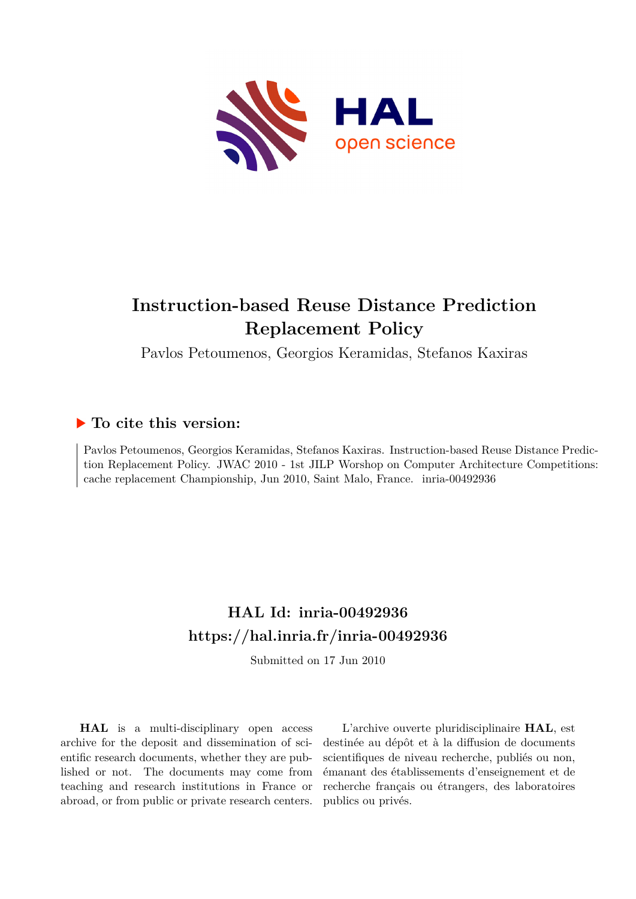

# **Instruction-based Reuse Distance Prediction Replacement Policy**

Pavlos Petoumenos, Georgios Keramidas, Stefanos Kaxiras

### **To cite this version:**

Pavlos Petoumenos, Georgios Keramidas, Stefanos Kaxiras. Instruction-based Reuse Distance Prediction Replacement Policy. JWAC 2010 - 1st JILP Worshop on Computer Architecture Competitions: cache replacement Championship, Jun 2010, Saint Malo, France.  $inria-00492936$ 

## **HAL Id: inria-00492936 <https://hal.inria.fr/inria-00492936>**

Submitted on 17 Jun 2010

**HAL** is a multi-disciplinary open access archive for the deposit and dissemination of scientific research documents, whether they are published or not. The documents may come from teaching and research institutions in France or abroad, or from public or private research centers.

L'archive ouverte pluridisciplinaire **HAL**, est destinée au dépôt et à la diffusion de documents scientifiques de niveau recherche, publiés ou non, émanant des établissements d'enseignement et de recherche français ou étrangers, des laboratoires publics ou privés.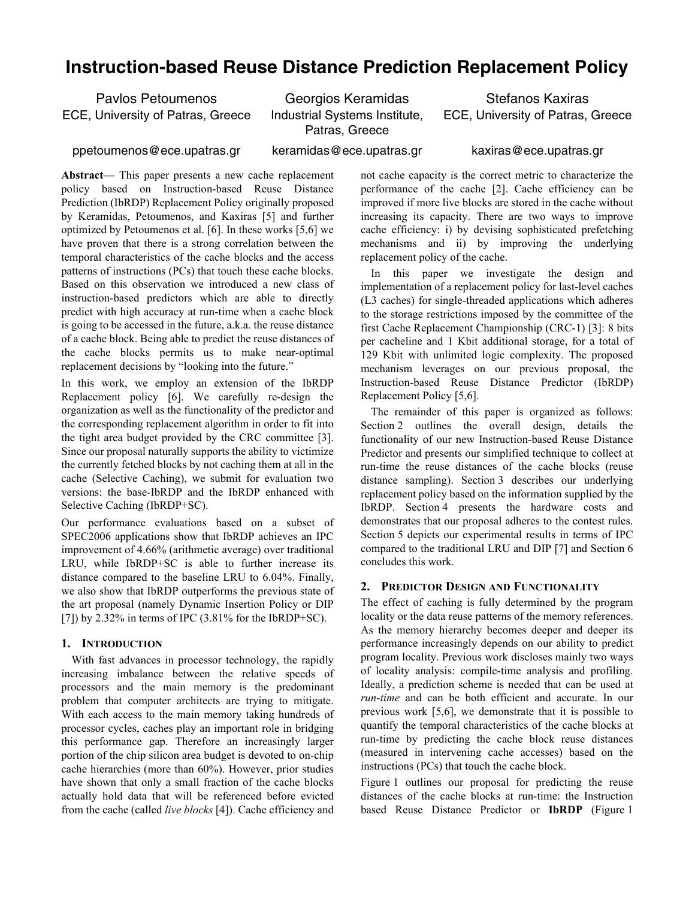## **Instruction-based Reuse Distance Prediction Replacement Policy**

Pavlos Petoumenos ECE, University of Patras, Greece

Georgios Keramidas Industrial Systems Institute, Patras, Greece

Stefanos Kaxiras ECE, University of Patras, Greece

ppetoumenos@ece.upatras.gr

keramidas@ece.upatras.gr

kaxiras@ece.upatras.gr

**Abstract—** This paper presents a new cache replacement policy based on Instruction-based Reuse Distance Prediction (IbRDP) Replacement Policy originally proposed by Keramidas, Petoumenos, and Kaxiras [5] and further optimized by Petoumenos et al. [6]. In these works [5,6] we have proven that there is a strong correlation between the temporal characteristics of the cache blocks and the access patterns of instructions (PCs) that touch these cache blocks. Based on this observation we introduced a new class of instruction-based predictors which are able to directly predict with high accuracy at run-time when a cache block is going to be accessed in the future, a.k.a. the reuse distance of a cache block. Being able to predict the reuse distances of the cache blocks permits us to make near-optimal replacement decisions by "looking into the future."

In this work, we employ an extension of the IbRDP Replacement policy [6]. We carefully re-design the organization as well as the functionality of the predictor and the corresponding replacement algorithm in order to fit into the tight area budget provided by the CRC committee [3]. Since our proposal naturally supports the ability to victimize the currently fetched blocks by not caching them at all in the cache (Selective Caching), we submit for evaluation two versions: the base-IbRDP and the IbRDP enhanced with Selective Caching (IbRDP+SC).

Our performance evaluations based on a subset of SPEC2006 applications show that IbRDP achieves an IPC improvement of 4.66% (arithmetic average) over traditional LRU, while IbRDP+SC is able to further increase its distance compared to the baseline LRU to 6.04%. Finally, we also show that IbRDP outperforms the previous state of the art proposal (namely Dynamic Insertion Policy or DIP [7]) by  $2.32\%$  in terms of IPC  $(3.81\%$  for the IbRDP+SC).

#### **1. INTRODUCTION**

With fast advances in processor technology, the rapidly increasing imbalance between the relative speeds of processors and the main memory is the predominant problem that computer architects are trying to mitigate. With each access to the main memory taking hundreds of processor cycles, caches play an important role in bridging this performance gap. Therefore an increasingly larger portion of the chip silicon area budget is devoted to on-chip cache hierarchies (more than 60%). However, prior studies have shown that only a small fraction of the cache blocks actually hold data that will be referenced before evicted from the cache (called *live blocks* [4]). Cache efficiency and not cache capacity is the correct metric to characterize the performance of the cache [2]. Cache efficiency can be improved if more live blocks are stored in the cache without increasing its capacity. There are two ways to improve cache efficiency: i) by devising sophisticated prefetching mechanisms and ii) by improving the underlying replacement policy of the cache.

In this paper we investigate the design and implementation of a replacement policy for last-level caches (L3 caches) for single-threaded applications which adheres to the storage restrictions imposed by the committee of the first Cache Replacement Championship (CRC-1) [3]: 8 bits per cacheline and 1 Kbit additional storage, for a total of 129 Kbit with unlimited logic complexity. The proposed mechanism leverages on our previous proposal, the Instruction-based Reuse Distance Predictor (IbRDP) Replacement Policy [5,6].

The remainder of this paper is organized as follows: Section 2 outlines the overall design, details the functionality of our new Instruction-based Reuse Distance Predictor and presents our simplified technique to collect at run-time the reuse distances of the cache blocks (reuse distance sampling). Section 3 describes our underlying replacement policy based on the information supplied by the IbRDP. Section 4 presents the hardware costs and demonstrates that our proposal adheres to the contest rules. Section 5 depicts our experimental results in terms of IPC compared to the traditional LRU and DIP [7] and Section 6 concludes this work.

#### **2. PREDICTOR DESIGN AND FUNCTIONALITY**

The effect of caching is fully determined by the program locality or the data reuse patterns of the memory references. As the memory hierarchy becomes deeper and deeper its performance increasingly depends on our ability to predict program locality. Previous work discloses mainly two ways of locality analysis: compile-time analysis and profiling. Ideally, a prediction scheme is needed that can be used at *run-time* and can be both efficient and accurate. In our previous work [5,6], we demonstrate that it is possible to quantify the temporal characteristics of the cache blocks at run-time by predicting the cache block reuse distances (measured in intervening cache accesses) based on the instructions (PCs) that touch the cache block.

Figure 1 outlines our proposal for predicting the reuse distances of the cache blocks at run-time: the Instruction based Reuse Distance Predictor or **IbRDP** (Figure 1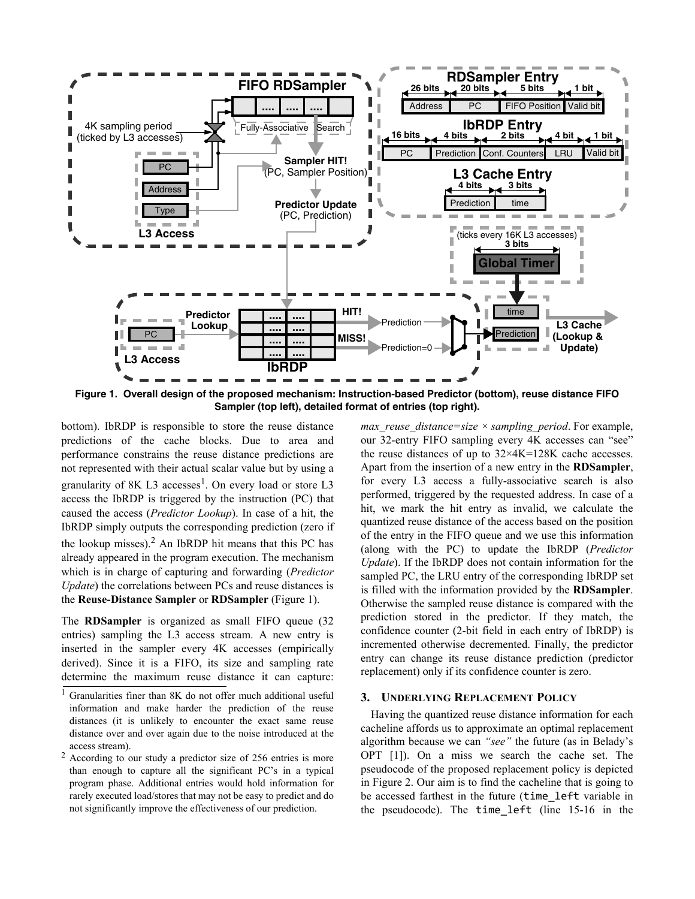

**Figure 1. Overall design of the proposed mechanism: Instruction-based Predictor (bottom), reuse distance FIFO Sampler (top left), detailed format of entries (top right).**

bottom). IbRDP is responsible to store the reuse distance predictions of the cache blocks. Due to area and performance constrains the reuse distance predictions are not represented with their actual scalar value but by using a granularity of 8K L3 accesses<sup>1</sup>. On every load or store L3 access the IbRDP is triggered by the instruction (PC) that caused the access (*Predictor Lookup*). In case of a hit, the IbRDP simply outputs the corresponding prediction (zero if the lookup misses). $<sup>2</sup>$  An IbRDP hit means that this PC has</sup> already appeared in the program execution. The mechanism which is in charge of capturing and forwarding (*Predictor Update*) the correlations between PCs and reuse distances is the **Reuse-Distance Sampler** or **RDSampler** (Figure 1).

The **RDSampler** is organized as small FIFO queue (32 entries) sampling the L3 access stream. A new entry is inserted in the sampler every 4K accesses (empirically derived). Since it is a FIFO, its size and sampling rate determine the maximum reuse distance it can capture: *max\_reuse\_distance=size × sampling\_period*. For example, our 32-entry FIFO sampling every 4K accesses can "see" the reuse distances of up to  $32 \times 4K = 128K$  cache accesses. Apart from the insertion of a new entry in the **RDSampler**, for every L3 access a fully-associative search is also performed, triggered by the requested address. In case of a hit, we mark the hit entry as invalid, we calculate the quantized reuse distance of the access based on the position of the entry in the FIFO queue and we use this information (along with the PC) to update the IbRDP (*Predictor Update*). If the IbRDP does not contain information for the sampled PC, the LRU entry of the corresponding IbRDP set is filled with the information provided by the **RDSampler**. Otherwise the sampled reuse distance is compared with the prediction stored in the predictor. If they match, the confidence counter (2-bit field in each entry of IbRDP) is incremented otherwise decremented. Finally, the predictor entry can change its reuse distance prediction (predictor replacement) only if its confidence counter is zero.

#### **3. UNDERLYING REPLACEMENT POLICY**

Having the quantized reuse distance information for each cacheline affords us to approximate an optimal replacement algorithm because we can *"see"* the future (as in Belady's OPT [1]). On a miss we search the cache set. The pseudocode of the proposed replacement policy is depicted in Figure 2. Our aim is to find the cacheline that is going to be accessed farthest in the future (time\_left variable in the pseudocode). The time\_left (line 15-16 in the

<sup>1</sup> Granularities finer than 8K do not offer much additional useful information and make harder the prediction of the reuse distances (it is unlikely to encounter the exact same reuse distance over and over again due to the noise introduced at the access stream).

<sup>&</sup>lt;sup>2</sup> According to our study a predictor size of 256 entries is more than enough to capture all the significant PC's in a typical program phase. Additional entries would hold information for rarely executed load/stores that may not be easy to predict and do not significantly improve the effectiveness of our prediction.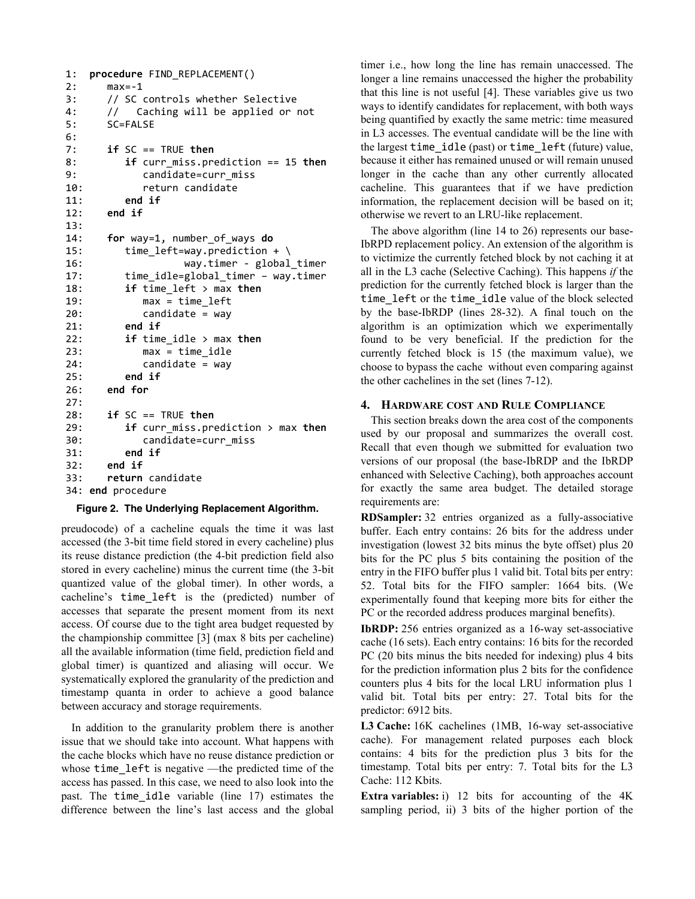```
1:procedure FIND_REPLACEMENT()
2: max=-13: // SC controls whether Selective<br>4: // Caching will be applied or
      // Caching will be applied or not
5: SC=FALSE
6:
7:if SC == TRUE then
8:if curr_miss.prediction == 15 then
9: candidate=curr_miss
10: return candidate
11:end if
12:end if
13:
14:for way=1, number_of_ways do
15: time\_left=way.prediction + \n\16: way.timer - global timer
17: time idle=global_timer - way.timer
18:if time_left > max then
19: max = time left
20: candidate = way
21:end if
22:if time_idle > max then
23: max = time idle
24:candidate = way
25:end if
26:end for
27:
28:if SC == TRUE then
29:if curr_miss.prediction > max then
30: candidate=curr miss
31:end if
32:end if
33:return candidate
34: end procedure
```
#### **Figure 2. The Underlying Replacement Algorithm.**

preudocode) of a cacheline equals the time it was last accessed (the 3-bit time field stored in every cacheline) plus its reuse distance prediction (the 4-bit prediction field also stored in every cacheline) minus the current time (the 3-bit quantized value of the global timer). In other words, a cacheline's time\_left is the (predicted) number of accesses that separate the present moment from its next access. Of course due to the tight area budget requested by the championship committee [3] (max 8 bits per cacheline) all the available information (time field, prediction field and global timer) is quantized and aliasing will occur. We systematically explored the granularity of the prediction and timestamp quanta in order to achieve a good balance between accuracy and storage requirements.

In addition to the granularity problem there is another issue that we should take into account. What happens with the cache blocks which have no reuse distance prediction or whose time left is negative —the predicted time of the access has passed. In this case, we need to also look into the past. The time idle variable (line 17) estimates the difference between the line's last access and the global

timer i.e., how long the line has remain unaccessed. The longer a line remains unaccessed the higher the probability that this line is not useful [4]. These variables give us two ways to identify candidates for replacement, with both ways being quantified by exactly the same metric: time measured in L3 accesses. The eventual candidate will be the line with the largest time\_idle (past) or time\_left (future) value, because it either has remained unused or will remain unused longer in the cache than any other currently allocated cacheline. This guarantees that if we have prediction information, the replacement decision will be based on it; otherwise we revert to an LRU-like replacement.

The above algorithm (line 14 to 26) represents our base-IbRPD replacement policy. An extension of the algorithm is to victimize the currently fetched block by not caching it at all in the L3 cache (Selective Caching). This happens *if* the prediction for the currently fetched block is larger than the time left or the time idle value of the block selected by the base-IbRDP (lines 28-32). A final touch on the algorithm is an optimization which we experimentally found to be very beneficial. If the prediction for the currently fetched block is 15 (the maximum value), we choose to bypass the cache without even comparing against the other cachelines in the set (lines 7-12).

#### **4. HARDWARE COST AND RULE COMPLIANCE**

This section breaks down the area cost of the components used by our proposal and summarizes the overall cost. Recall that even though we submitted for evaluation two versions of our proposal (the base-IbRDP and the IbRDP enhanced with Selective Caching), both approaches account for exactly the same area budget. The detailed storage requirements are:

**RDSampler:** 32 entries organized as a fully-associative buffer. Each entry contains: 26 bits for the address under investigation (lowest 32 bits minus the byte offset) plus 20 bits for the PC plus 5 bits containing the position of the entry in the FIFO buffer plus 1 valid bit. Total bits per entry: 52. Total bits for the FIFO sampler: 1664 bits. (We experimentally found that keeping more bits for either the PC or the recorded address produces marginal benefits).

**IbRDP:** 256 entries organized as a 16-way set-associative cache (16 sets). Each entry contains: 16 bits for the recorded PC (20 bits minus the bits needed for indexing) plus 4 bits for the prediction information plus 2 bits for the confidence counters plus 4 bits for the local LRU information plus 1 valid bit. Total bits per entry: 27. Total bits for the predictor: 6912 bits.

L3 Cache:  $16K$  cachelines (1MB, 16-way set-associative cache). For management related purposes each block contains: 4 bits for the prediction plus 3 bits for the timestamp. Total bits per entry: 7. Total bits for the L3 Cache: 112 Kbits.

**Extra variables:** i) 12 bits for accounting of the 4K sampling period, ii) 3 bits of the higher portion of the